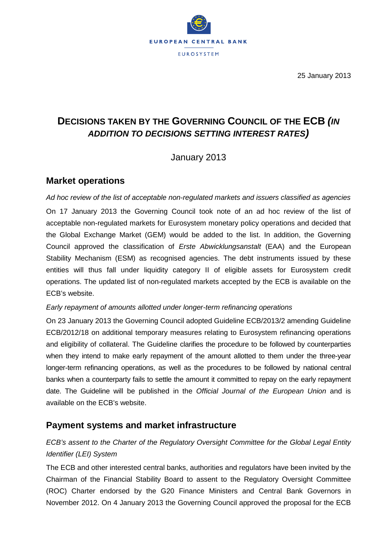

25 January 2013

# **DECISIONS TAKEN BY THE GOVERNING COUNCIL OF THE ECB** *(IN ADDITION TO DECISIONS SETTING INTEREST RATES)*

## January 2013

#### **Market operations**

*Ad hoc review of the list of acceptable non-regulated markets and issuers classified as agencies* On 17 January 2013 the Governing Council took note of an ad hoc review of the list of acceptable non-regulated markets for Eurosystem monetary policy operations and decided that the Global Exchange Market (GEM) would be added to the list. In addition, the Governing Council approved the classification of *Erste Abwicklungsanstalt* (EAA) and the European Stability Mechanism (ESM) as recognised agencies. The debt instruments issued by these entities will thus fall under liquidity category II of eligible assets for Eurosystem credit operations. The updated list of non-regulated markets accepted by the ECB is available on the ECB's website.

#### *Early repayment of amounts allotted under longer-term refinancing operations*

On 23 January 2013 the Governing Council adopted Guideline ECB/2013/2 amending Guideline ECB/2012/18 on additional temporary measures relating to Eurosystem refinancing operations and eligibility of collateral. The Guideline clarifies the procedure to be followed by counterparties when they intend to make early repayment of the amount allotted to them under the three-year longer-term refinancing operations, as well as the procedures to be followed by national central banks when a counterparty fails to settle the amount it committed to repay on the early repayment date. The Guideline will be published in the *Official Journal of the European Union* and is available on the ECB's website.

### **Payment systems and market infrastructure**

### *ECB's assent to the Charter of the Regulatory Oversight Committee for the Global Legal Entity Identifier (LEI) System*

The ECB and other interested central banks, authorities and regulators have been invited by the Chairman of the Financial Stability Board to assent to the Regulatory Oversight Committee (ROC) Charter endorsed by the G20 Finance Ministers and Central Bank Governors in November 2012. On 4 January 2013 the Governing Council approved the proposal for the ECB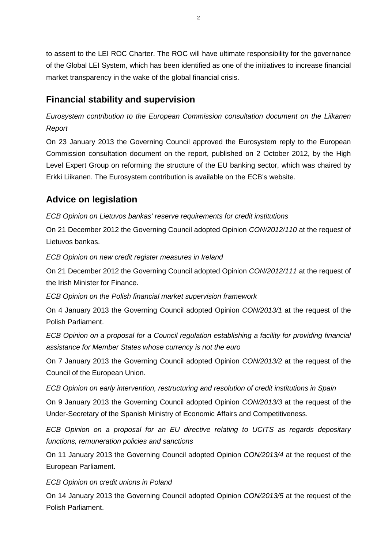to assent to the LEI ROC Charter. The ROC will have ultimate responsibility for the governance of the Global LEI System, which has been identified as one of the initiatives to increase financial market transparency in the wake of the global financial crisis.

# **Financial stability and supervision**

*Eurosystem contribution to the European Commission consultation document on the Liikanen Report* 

On 23 January 2013 the Governing Council approved the Eurosystem reply to the European Commission consultation document on the report, published on 2 October 2012, by the High Level Expert Group on reforming the structure of the EU banking sector, which was chaired by Erkki Liikanen. The Eurosystem contribution is available on the ECB's website.

# **Advice on legislation**

*ECB Opinion on Lietuvos bankas' reserve requirements for credit institutions*

On 21 December 2012 the Governing Council adopted Opinion *CON/2012/110* at the request of Lietuvos bankas.

*ECB Opinion on new credit register measures in Ireland* 

On 21 December 2012 the Governing Council adopted Opinion *CON/2012/111* at the request of the Irish Minister for Finance.

*ECB Opinion on the Polish financial market supervision framework* 

On 4 January 2013 the Governing Council adopted Opinion *CON/2013/1* at the request of the Polish Parliament.

*ECB Opinion on a proposal for a Council regulation establishing a facility for providing financial assistance for Member States whose currency is not the euro* 

On 7 January 2013 the Governing Council adopted Opinion *CON/2013/2* at the request of the Council of the European Union.

*ECB Opinion on early intervention, restructuring and resolution of credit institutions in Spain* 

On 9 January 2013 the Governing Council adopted Opinion *CON/2013/3* at the request of the Under-Secretary of the Spanish Ministry of Economic Affairs and Competitiveness.

*ECB Opinion on a proposal for an EU directive relating to UCITS as regards depositary functions, remuneration policies and sanctions* 

On 11 January 2013 the Governing Council adopted Opinion *CON/2013/4* at the request of the European Parliament.

*ECB Opinion on credit unions in Poland* 

On 14 January 2013 the Governing Council adopted Opinion *CON/2013/5* at the request of the Polish Parliament.